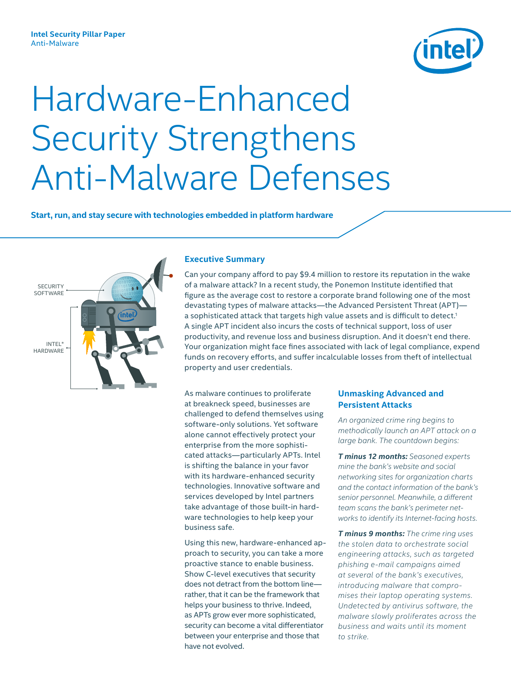

# <span id="page-0-0"></span>Hardware-Enhanced Security Strengthens Anti-Malware Defenses

**Start, run, and stay secure with technologies embedded in platform hardware**



## **Executive Summary**

Can your company afford to pay \$9.4 million to restore its reputation in the wake of a malware attack? In a recent study, the Ponemon Institute identified that figure as the average cost to restore a corporate brand following one of the most devastating types of malware attacks—the Advanced Persistent Threat (APT) a sophisticated attack that targets high value assets and is difficult to detect.<sup>1</sup> A single APT incident also incurs the costs of technical support, loss of user productivity, and revenue loss and business disruption. And it doesn't end there. Your organization might face fines associated with lack of legal compliance, expend funds on recovery efforts, and suffer incalculable losses from theft of intellectual property and user credentials.

As malware continues to proliferate at breakneck speed, businesses are challenged to defend themselves using software-only solutions. Yet software alone cannot effectively protect your enterprise from the more sophisticated attacks—particularly APTs. Intel is shifting the balance in your favor with its hardware-enhanced security technologies. Innovative software and services developed by Intel partners take advantage of those built-in hardware technologies to help keep your business safe.

Using this new, hardware-enhanced approach to security, you can take a more proactive stance to enable business. Show C-level executives that security does not detract from the bottom line rather, that it can be the framework that helps your business to thrive. Indeed, as APTs grow ever more sophisticated, security can become a vital differentiator between your enterprise and those that have not evolved.

# **Unmasking Advanced and Persistent Attacks**

*An organized crime ring begins to methodically launch an APT attack on a large bank. The countdown begins:*

*T minus 12 months: Seasoned experts mine the bank's website and social networking sites for organization charts and the contact information of the bank's senior personnel. Meanwhile, a different team scans the bank's perimeter networks to identify its Internet-facing hosts.*

*T minus 9 months: The crime ring uses the stolen data to orchestrate social engineering attacks, such as targeted phishing e-mail campaigns aimed at several of the bank's executives, introducing malware that compromises their laptop operating systems. Undetected by antivirus software, the malware slowly proliferates across the business and waits until its moment to strike.*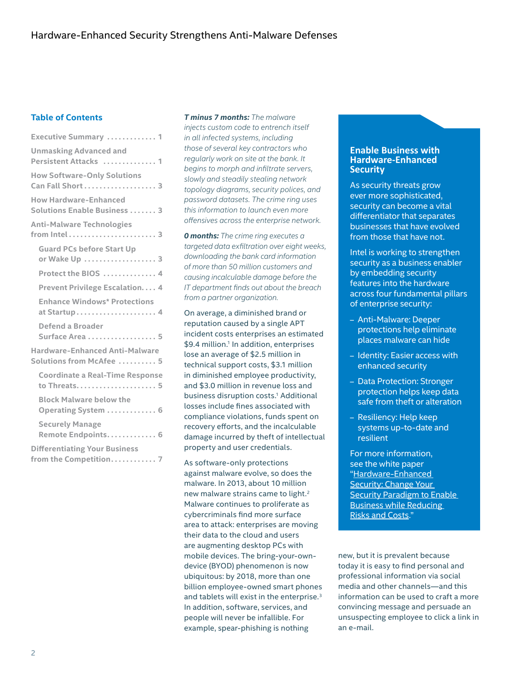## **Table of Contents**

| Executive Summary  1                                                |
|---------------------------------------------------------------------|
| <b>Unmasking Advanced and</b><br>Persistent Attacks  1              |
| <b>How Software-Only Solutions</b><br>Can Fall Short 3              |
| <b>How Hardware-Enhanced</b><br><b>Solutions Enable Business  3</b> |
| <b>Anti-Malware Technologies</b><br>from Intel 3                    |
| <b>Guard PCs before Start Up</b><br>or Wake Up  3                   |
| Protect the BIOS  4                                                 |
| <b>Prevent Privilege Escalation 4</b>                               |
| <b>Enhance Windows* Protections</b>                                 |
| Defend a Broader<br>Surface Area  5                                 |
| <b>Hardware-Enhanced Anti-Malware</b><br>Solutions from McAfee  5   |
| <b>Coordinate a Real-Time Response</b>                              |
| <b>Block Malware below the</b><br>Operating System  6               |
| <b>Securely Manage</b><br>Remote Endpoints 6                        |
| <b>Differentiating Your Business</b><br>from the Competition 7      |

*T minus 7 months: The malware injects custom code to entrench itself in all infected systems, including those of several key contractors who regularly work on site at the bank. It begins to morph and infiltrate servers, slowly and steadily stealing network topology diagrams, security polices, and password datasets. The crime ring uses this information to launch even more offensives across the enterprise network.*

*0 months: The crime ring executes a targeted data exfiltration over eight weeks, downloading the bank card information of more than 50 million customers and causing incalculable damage before the IT department finds out about the breach from a partner organization.*

On average, a diminished brand or reputation caused by a single APT incident costs enterprises an estimated \$9.4 million.<sup>1</sup> In addition, enterprises lose an average of \$2.5 million in technical support costs, \$3.1 million in diminished employee productivity, and \$3.0 million in revenue loss and business disruption costs.<sup>1</sup> Additional losses include fines associated with compliance violations, funds spent on recovery efforts, and the incalculable damage incurred by theft of intellectual property and user credentials.

As software-only protections against malware evolve, so does the malware. In 2013, about 10 million new malware strains came to light.<sup>2</sup> Malware continues to proliferate as cybercriminals find more surface area to attack: enterprises are moving their data to the cloud and users are augmenting desktop PCs with mobile devices. The bring-your-owndevice (BYOD) phenomenon is now ubiquitous: by 2018, more than one billion employee-owned smart phones and tablets will exist in the enterprise.<sup>3</sup> In addition, software, services, and people will never be infallible. For example, spear-phishing is nothing

#### **Enable Business with Hardware-Enhanced Security**

As security threats grow ever more sophisticated, security can become a vital differentiator that separates businesses that have evolved from those that have not.

Intel is working to strengthen security as a business enabler by embedding security features into the hardware across four fundamental pillars of enterprise security:

- Anti-Malware: Deeper protections help eliminate places malware can hide
- Identity: Easier access with enhanced security
- Data Protection: Stronger protection helps keep data safe from theft or alteration
- Resiliency: Help keep systems up-to-date and resilient

For more information, see the white paper "[Hardware-Enhanced](http://www.intel.com/content/www/us/en/enterprise-security/enterprise-security-hardware-enhanced-security-white-paper.html)  [Security: Change Your](http://www.intel.com/content/www/us/en/enterprise-security/enterprise-security-hardware-enhanced-security-white-paper.html)  **Security Paradigm to Enable** [Business while Reducing](http://www.intel.com/content/www/us/en/enterprise-security/enterprise-security-hardware-enhanced-security-white-paper.html)  [Risks and Costs](http://www.intel.com/content/www/us/en/enterprise-security/enterprise-security-hardware-enhanced-security-white-paper.html)."

new, but it is prevalent because today it is easy to find personal and professional information via social media and other channels—and this information can be used to craft a more convincing message and persuade an unsuspecting employee to click a link in an e-mail.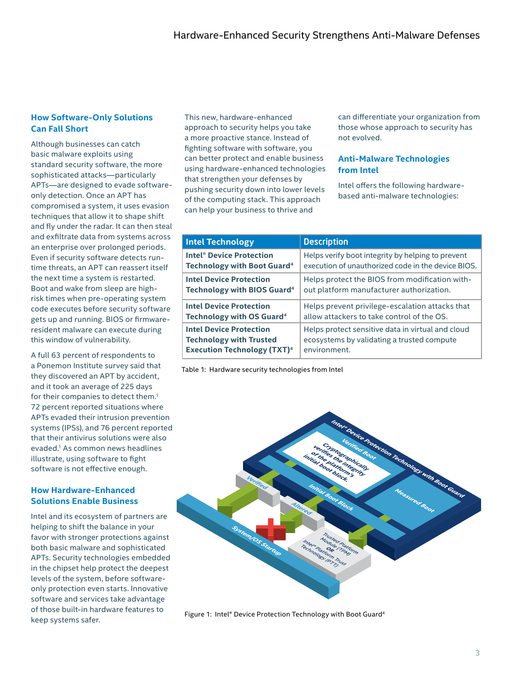## <span id="page-2-0"></span>**How Software-Only Solutions Can Fall Short**

Although businesses can catch basic malware exploits using standard security software, the more sophisticated attacks—particularly APTs—are designed to evade softwareonly detection. Once an APT has compromised a system, it uses evasion techniques that allow it to shape shift and fly under the radar. It can then steal and exfiltrate data from systems across an enterprise over prolonged periods. Even if security software detects runtime threats, an APT can reassert itself the next time a system is restarted. Boot and wake from sleep are highrisk times when pre-operating system code executes before security software gets up and running. BIOS or firmwareresident malware can execute during this window of vulnerability.

A full 63 percent of respondents to a Ponemon Institute survey said that they discovered an APT by accident, and it took an average of 225 days for their companies to detect them.<sup>1</sup> 72 percent reported situations where APTs evaded their intrusion prevention systems (IPSs), and 76 percent reported that their antivirus solutions were also evaded.<sup>1</sup> As common news headlines illustrate, using software to fight software is not effective enough.

# **How Hardware-Enhanced Solutions Enable Business**

Intel and its ecosystem of partners are helping to shift the balance in your favor with stronger protections against both basic malware and sophisticated APTs. Security technologies embedded in the chipset help protect the deepest levels of the system, before softwareonly protection even starts. Innovative software and services take advantage of those built-in hardware features to keep systems safer.

This new, hardware-enhanced approach to security helps you take a more proactive stance. Instead of fighting software with software, you can better protect and enable business using hardware-enhanced technologies that strengthen your defenses by pushing security down into lower levels of the computing stack. This approach can help your business to thrive and

can differentiate your organization from those whose approach to security has not evolved.

# **Anti-Malware Technologies from Intel**

Intel offers the following hardwarebased anti-malware technologies:

| <b>Intel Technology</b>                    | <b>Description</b>                                 |
|--------------------------------------------|----------------------------------------------------|
| <b>Intel<sup>®</sup> Device Protection</b> | Helps verify boot integrity by helping to prevent  |
| <b>Technology with Boot Guard4</b>         | execution of unauthorized code in the device BIOS. |
| <b>Intel Device Protection</b>             | Helps protect the BIOS from modification with-     |
| <b>Technology with BIOS Guard4</b>         | out platform manufacturer authorization.           |
| <b>Intel Device Protection</b>             | Helps prevent privilege-escalation attacks that    |
| Technology with OS Guard <sup>4</sup>      | allow attackers to take control of the OS.         |
| <b>Intel Device Protection</b>             | Helps protect sensitive data in virtual and cloud  |
| <b>Technology with Trusted</b>             | ecosystems by validating a trusted compute         |
| <b>Execution Technology (TXT)4</b>         | environment.                                       |

Table 1: Hardware security technologies from Intel



Figure 1: Intel® Device Protection Technology with Boot Guard<sup>4</sup>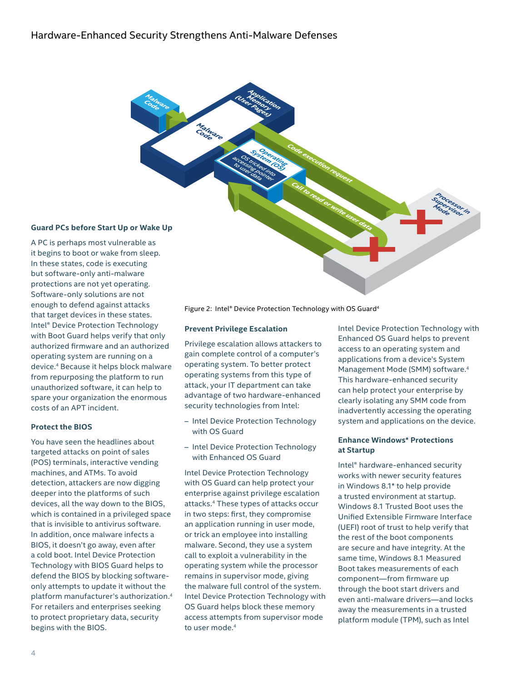<span id="page-3-0"></span>

## **Guard PCs before Start Up or Wake Up**

A PC is perhaps most vulnerable as it begins to boot or wake from sleep. In these states, code is executing but software-only anti-malware protections are not yet operating. Software-only solutions are not enough to defend against attacks that target devices in these states. Intel® Device Protection Technology with Boot Guard helps verify that only authorized firmware and an authorized operating system are running on a device.4 Because it helps block malware from repurposing the platform to run unauthorized software, it can help to spare your organization the enormous costs of an APT incident.

#### **Protect the BIOS**

You have seen the headlines about targeted attacks on point of sales (POS) terminals, interactive vending machines, and ATMs. To avoid detection, attackers are now digging deeper into the platforms of such devices, all the way down to the BIOS, which is contained in a privileged space that is invisible to antivirus software. In addition, once malware infects a BIOS, it doesn't go away, even after a cold boot. Intel Device Protection Technology with BIOS Guard helps to defend the BIOS by blocking softwareonly attempts to update it without the platform manufacturer's authorization.4 For retailers and enterprises seeking to protect proprietary data, security begins with the BIOS.

Figure 2: Intel® Device Protection Technology with OS Guard<sup>4</sup>

#### **Prevent Privilege Escalation**

Privilege escalation allows attackers to gain complete control of a computer's operating system. To better protect operating systems from this type of attack, your IT department can take advantage of two hardware-enhanced security technologies from Intel:

- Intel Device Protection Technology with OS Guard
- Intel Device Protection Technology with Enhanced OS Guard

Intel Device Protection Technology with OS Guard can help protect your enterprise against privilege escalation attacks.4 These types of attacks occur in two steps: first, they compromise an application running in user mode, or trick an employee into installing malware. Second, they use a system call to exploit a vulnerability in the operating system while the processor remains in supervisor mode, giving the malware full control of the system. Intel Device Protection Technology with OS Guard helps block these memory access attempts from supervisor mode to user mode.<sup>4</sup>

Intel Device Protection Technology with Enhanced OS Guard helps to prevent access to an operating system and applications from a device's System Management Mode (SMM) software.4 This hardware-enhanced security can help protect your enterprise by clearly isolating any SMM code from inadvertently accessing the operating system and applications on the device.

## **Enhance Windows\* Protections at Startup**

Intel® hardware-enhanced security works with newer security features in Windows 8.1\* to help provide a trusted environment at startup. Windows 8.1 Trusted Boot uses the Unified Extensible Firmware Interface (UEFI) root of trust to help verify that the rest of the boot components are secure and have integrity. At the same time, Windows 8.1 Measured Boot takes measurements of each component—from firmware up through the boot start drivers and even anti-malware drivers—and locks away the measurements in a trusted platform module (TPM), such as Intel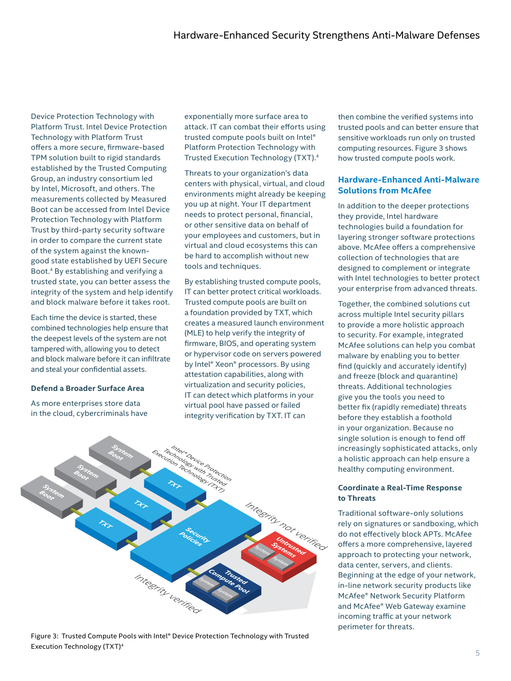<span id="page-4-0"></span>Device Protection Technology with Platform Trust. Intel Device Protection Technology with Platform Trust offers a more secure, firmware-based TPM solution built to rigid standards established by the Trusted Computing Group, an industry consortium led by Intel, Microsoft, and others. The measurements collected by Measured Boot can be accessed from Intel Device Protection Technology with Platform Trust by third-party security software in order to compare the current state of the system against the knowngood state established by UEFI Secure Boot.4 By establishing and verifying a trusted state, you can better assess the integrity of the system and help identify and block malware before it takes root.

Each time the device is started, these combined technologies help ensure that the deepest levels of the system are not tampered with, allowing you to detect and block malware before it can infiltrate and steal your confidential assets.

## **Defend a Broader Surface Area**

As more enterprises store data in the cloud, cybercriminals have exponentially more surface area to attack. IT can combat their efforts using trusted compute pools built on Intel® Platform Protection Technology with Trusted Execution Technology (TXT).4

Threats to your organization's data centers with physical, virtual, and cloud environments might already be keeping you up at night. Your IT department needs to protect personal, financial, or other sensitive data on behalf of your employees and customers, but in virtual and cloud ecosystems this can be hard to accomplish without new tools and techniques.

By establishing trusted compute pools, IT can better protect critical workloads. Trusted compute pools are built on a foundation provided by TXT, which creates a measured launch environment (MLE) to help verify the integrity of firmware, BIOS, and operating system or hypervisor code on servers powered by Intel® Xeon® processors. By using attestation capabilities, along with virtualization and security policies, IT can detect which platforms in your virtual pool have passed or failed integrity verification by TXT. IT can



# **Hardware-Enhanced Anti-Malware Solutions from McAfee**

In addition to the deeper protections they provide, Intel hardware technologies build a foundation for layering stronger software protections above. McAfee offers a comprehensive collection of technologies that are designed to complement or integrate with Intel technologies to better protect your enterprise from advanced threats.

Together, the combined solutions cut across multiple Intel security pillars to provide a more holistic approach to security. For example, integrated McAfee solutions can help you combat malware by enabling you to better find (quickly and accurately identify) and freeze (block and quarantine) threats. Additional technologies give you the tools you need to better fix (rapidly remediate) threats before they establish a foothold in your organization. Because no single solution is enough to fend off increasingly sophisticated attacks, only a holistic approach can help ensure a healthy computing environment.

## **Coordinate a Real-Time Response to Threats**

Traditional software-only solutions rely on signatures or sandboxing, which do not effectively block APTs. McAfee offers a more comprehensive, layered approach to protecting your network, data center, servers, and clients. Beginning at the edge of your network, in-line network security products like McAfee® Network Security Platform and McAfee® Web Gateway examine incoming traffic at your network perimeter for threats.



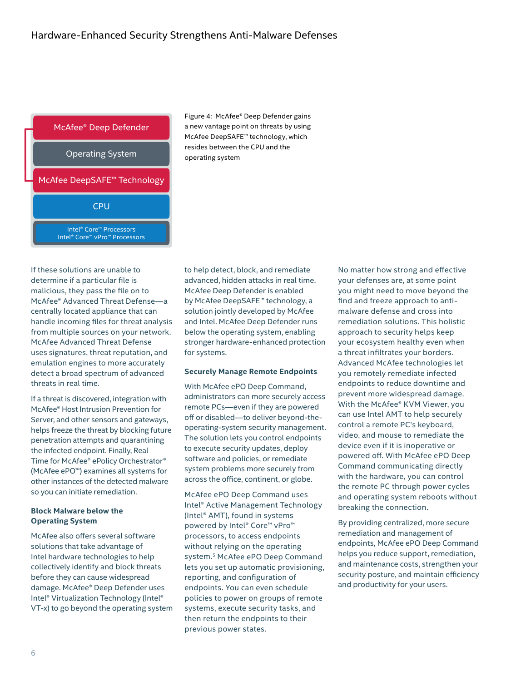<span id="page-5-0"></span>

Figure 4: McAfee® Deep Defender gains a new vantage point on threats by using McAfee DeepSAFE™ technology, which resides between the CPU and the operating system

If these solutions are unable to determine if a particular file is malicious, they pass the file on to McAfee® Advanced Threat Defense—a centrally located appliance that can handle incoming files for threat analysis from multiple sources on your network. McAfee Advanced Threat Defense uses signatures, threat reputation, and emulation engines to more accurately detect a broad spectrum of advanced threats in real time.

If a threat is discovered, integration with McAfee® Host Intrusion Prevention for Server, and other sensors and gateways, helps freeze the threat by blocking future penetration attempts and quarantining the infected endpoint. Finally, Real Time for McAfee® ePolicy Orchestrator® (McAfee ePO™) examines all systems for other instances of the detected malware so you can initiate remediation.

## **Block Malware below the Operating System**

McAfee also offers several software solutions that take advantage of Intel hardware technologies to help collectively identify and block threats before they can cause widespread damage. McAfee® Deep Defender uses Intel® Virtualization Technology (Intel® VT-x) to go beyond the operating system to help detect, block, and remediate advanced, hidden attacks in real time. McAfee Deep Defender is enabled by McAfee DeepSAFE™ technology, a solution jointly developed by McAfee and Intel. McAfee Deep Defender runs below the operating system, enabling stronger hardware-enhanced protection for systems.

#### **Securely Manage Remote Endpoints**

With McAfee ePO Deep Command, administrators can more securely access remote PCs—even if they are powered off or disabled—to deliver beyond-theoperating-system security management. The solution lets you control endpoints to execute security updates, deploy software and policies, or remediate system problems more securely from across the office, continent, or globe.

McAfee ePO Deep Command uses Intel® Active Management Technology (Intel® AMT), found in systems powered by Intel® Core™ vPro™ processors, to access endpoints without relying on the operating system.5 McAfee ePO Deep Command lets you set up automatic provisioning, reporting, and configuration of endpoints. You can even schedule policies to power on groups of remote systems, execute security tasks, and then return the endpoints to their previous power states.

No matter how strong and effective your defenses are, at some point you might need to move beyond the find and freeze approach to antimalware defense and cross into remediation solutions. This holistic approach to security helps keep your ecosystem healthy even when a threat infiltrates your borders. Advanced McAfee technologies let you remotely remediate infected endpoints to reduce downtime and prevent more widespread damage. With the McAfee® KVM Viewer, you can use Intel AMT to help securely control a remote PC's keyboard, video, and mouse to remediate the device even if it is inoperative or powered off. With McAfee ePO Deep Command communicating directly with the hardware, you can control the remote PC through power cycles and operating system reboots without breaking the connection.

By providing centralized, more secure remediation and management of endpoints, McAfee ePO Deep Command helps you reduce support, remediation, and maintenance costs, strengthen your security posture, and maintain efficiency and productivity for your users.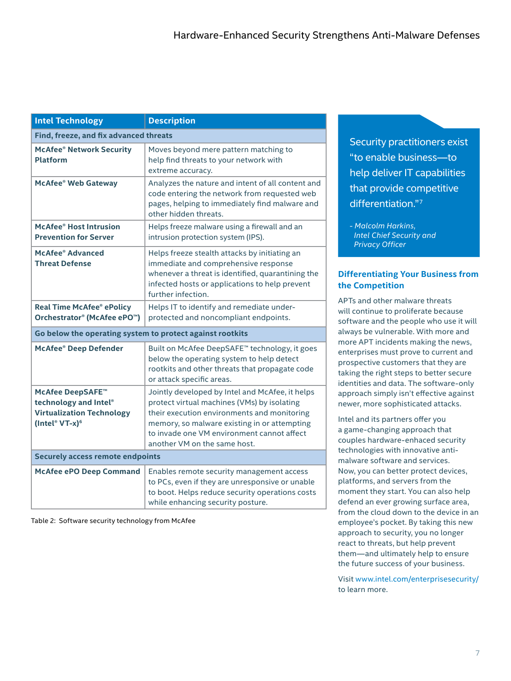<span id="page-6-0"></span>

| <b>Intel Technology</b>                                                                                     | <b>Description</b>                                                                                                                                                                                                                                                          |  |
|-------------------------------------------------------------------------------------------------------------|-----------------------------------------------------------------------------------------------------------------------------------------------------------------------------------------------------------------------------------------------------------------------------|--|
| Find, freeze, and fix advanced threats                                                                      |                                                                                                                                                                                                                                                                             |  |
| <b>McAfee<sup>®</sup> Network Security</b><br><b>Platform</b>                                               | Moves beyond mere pattern matching to<br>help find threats to your network with<br>extreme accuracy.                                                                                                                                                                        |  |
| McAfee® Web Gateway                                                                                         | Analyzes the nature and intent of all content and<br>code entering the network from requested web<br>pages, helping to immediately find malware and<br>other hidden threats.                                                                                                |  |
| McAfee <sup>®</sup> Host Intrusion<br><b>Prevention for Server</b>                                          | Helps freeze malware using a firewall and an<br>intrusion protection system (IPS).                                                                                                                                                                                          |  |
| McAfee <sup>®</sup> Advanced<br><b>Threat Defense</b>                                                       | Helps freeze stealth attacks by initiating an<br>immediate and comprehensive response<br>whenever a threat is identified, quarantining the<br>infected hosts or applications to help prevent<br>further infection.                                                          |  |
| <b>Real Time McAfee® ePolicy</b><br>Orchestrator® (McAfee ePO™)                                             | Helps IT to identify and remediate under-<br>protected and noncompliant endpoints.                                                                                                                                                                                          |  |
| Go below the operating system to protect against rootkits                                                   |                                                                                                                                                                                                                                                                             |  |
| <b>McAfee<sup>®</sup> Deep Defender</b>                                                                     | Built on McAfee DeepSAFE™ technology, it goes<br>below the operating system to help detect<br>rootkits and other threats that propagate code<br>or attack specific areas.                                                                                                   |  |
| McAfee DeepSAFE™<br>technology and Intel®<br><b>Virtualization Technology</b><br>(Intel® VT-x) <sup>6</sup> | Jointly developed by Intel and McAfee, it helps<br>protect virtual machines (VMs) by isolating<br>their execution environments and monitoring<br>memory, so malware existing in or attempting<br>to invade one VM environment cannot affect<br>another VM on the same host. |  |
| <b>Securely access remote endpoints</b>                                                                     |                                                                                                                                                                                                                                                                             |  |
| <b>McAfee ePO Deep Command</b>                                                                              | Enables remote security management access<br>to PCs, even if they are unresponsive or unable<br>to boot. Helps reduce security operations costs<br>while enhancing security posture.                                                                                        |  |

Table 2: Software security technology from McAfee

Security practitioners exist "to enable business—to help deliver IT capabilities that provide competitive differentiation."<sup>7</sup>

*- Malcolm Harkins, Intel Chief Security and Privacy Officer*

# **Differentiating Your Business from the Competition**

APTs and other malware threats will continue to proliferate because software and the people who use it will always be vulnerable. With more and more APT incidents making the news, enterprises must prove to current and prospective customers that they are taking the right steps to better secure identities and data. The software-only approach simply isn't effective against newer, more sophisticated attacks.

Intel and its partners offer you a game-changing approach that couples hardware-enhaced security technologies with innovative antimalware software and services. Now, you can better protect devices, platforms, and servers from the moment they start. You can also help defend an ever growing surface area, from the cloud down to the device in an employee's pocket. By taking this new approach to security, you no longer react to threats, but help prevent them—and ultimately help to ensure the future success of your business.

Visit www.intel.com/enterprisesecurity/ to learn more.